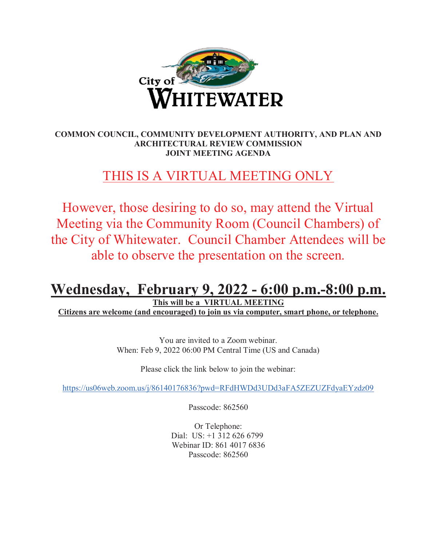

# **COMMON COUNCIL, COMMUNITY DEVELOPMENT AUTHORITY, AND PLAN AND ARCHITECTURAL REVIEW COMMISSION JOINT MEETING AGENDA**

# THIS IS A VIRTUAL MEETING ONLY

However, those desiring to do so, may attend the Virtual Meeting via the Community Room (Council Chambers) of the City of Whitewater. Council Chamber Attendees will be able to observe the presentation on the screen.

# **Wednesday, February 9, 2022 - 6:00 p.m.-8:00 p.m.**

**This will be a VIRTUAL MEETING** 

**Citizens are welcome (and encouraged) to join us via computer, smart phone, or telephone.** 

You are invited to a Zoom webinar. When: Feb 9, 2022 06:00 PM Central Time (US and Canada)

Please click the link below to join the webinar:

https://us06web.zoom.us/j/86140176836?pwd=RFdHWDd3UDd3aFA5ZEZUZFdyaEYzdz09

Passcode: 862560

Or Telephone: Dial: US: +1 312 626 6799 Webinar ID: 861 4017 6836 Passcode: 862560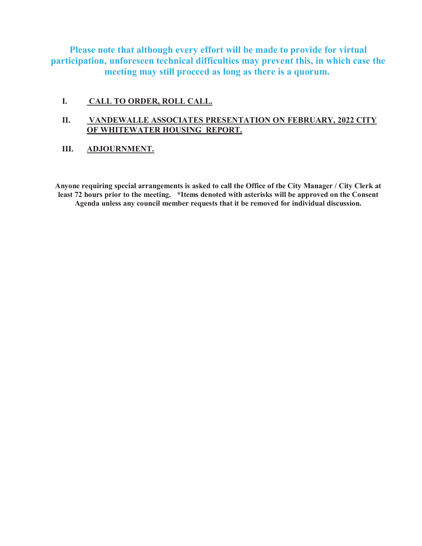**Please note that although every effort will be made to provide for virtual participation, unforeseen technical difficulties may prevent this, in which case the meeting may still proceed as long as there is a quorum.** 

# **I. CALL TO ORDER, ROLL CALL.**

# **II. VANDEWALLE ASSOCIATES PRESENTATION ON FEBRUARY, 2022 CITY OF WHITEWATER HOUSING REPORT.**

# **III. ADJOURNMENT.**

**Anyone requiring special arrangements is asked to call the Office of the City Manager / City Clerk at least 72 hours prior to the meeting. \*Items denoted with asterisks will be approved on the Consent Agenda unless any council member requests that it be removed for individual discussion.**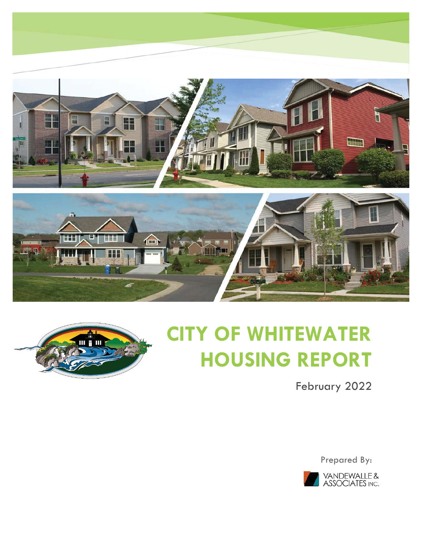



# **CITY OF WHITEWATER HOUSING REPORT**

February 2022

Prepared By:

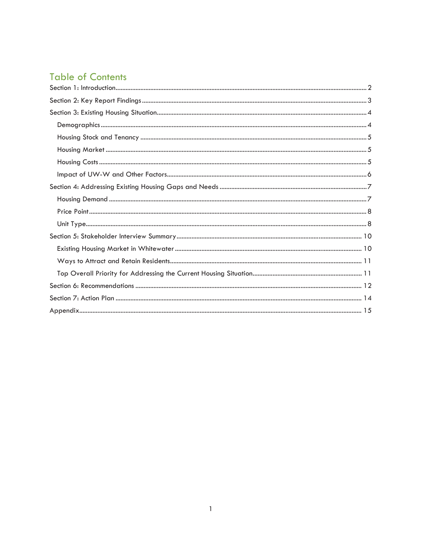# **Table of Contents**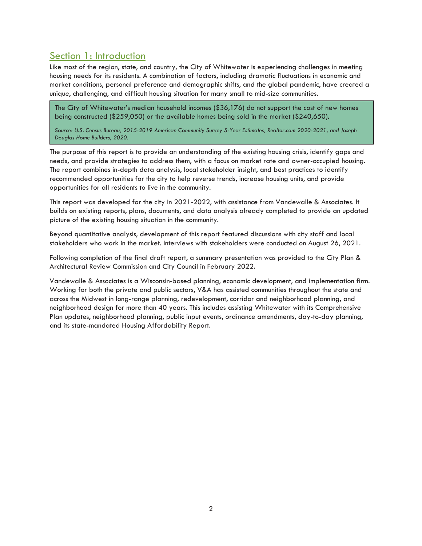# Section 1: Introduction

Like most of the region, state, and country, the City of Whitewater is experiencing challenges in meeting housing needs for its residents. A combination of factors, including dramatic fluctuations in economic and market conditions, personal preference and demographic shifts, and the global pandemic, have created a unique, challenging, and difficult housing situation for many small to mid-size communities.

The City of Whitewater's median household incomes (\$36,176) do not support the cost of new homes being constructed (\$259,050) or the available homes being sold in the market (\$240,650).

*Source: U.S. Census Bureau, 2015-2019 American Community Survey 5-Year Estimates, Realtor.com 2020-2021, and Joseph Douglas Home Builders, 2020.* 

The purpose of this report is to provide an understanding of the existing housing crisis, identify gaps and needs, and provide strategies to address them, with a focus on market rate and owner-occupied housing. The report combines in-depth data analysis, local stakeholder insight, and best practices to identify recommended opportunities for the city to help reverse trends, increase housing units, and provide opportunities for all residents to live in the community.

This report was developed for the city in 2021-2022, with assistance from Vandewalle & Associates. It builds on existing reports, plans, documents, and data analysis already completed to provide an updated picture of the existing housing situation in the community.

Beyond quantitative analysis, development of this report featured discussions with city staff and local stakeholders who work in the market. Interviews with stakeholders were conducted on August 26, 2021.

Following completion of the final draft report, a summary presentation was provided to the City Plan & Architectural Review Commission and City Council in February 2022.

Vandewalle & Associates is a Wisconsin-based planning, economic development, and implementation firm. Working for both the private and public sectors, V&A has assisted communities throughout the state and across the Midwest in long-range planning, redevelopment, corridor and neighborhood planning, and neighborhood design for more than 40 years. This includes assisting Whitewater with its Comprehensive Plan updates, neighborhood planning, public input events, ordinance amendments, day-to-day planning, and its state-mandated Housing Affordability Report.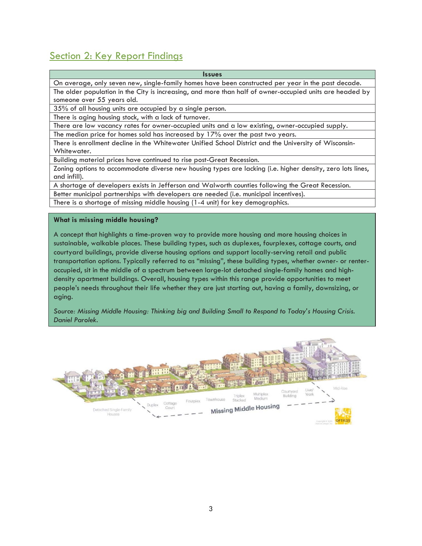# Section 2: Key Report Findings

| <b>Issues</b>                                                                                              |
|------------------------------------------------------------------------------------------------------------|
| On average, only seven new, single-family homes have been constructed per year in the past decade.         |
| The older population in the City is increasing, and more than half of owner-occupied units are headed by   |
| someone over 55 years old.                                                                                 |
| 35% of all housing units are occupied by a single person.                                                  |
| There is aging housing stock, with a lack of turnover.                                                     |
| There are low vacancy rates for owner-occupied units and a low existing, owner-occupied supply.            |
| The median price for homes sold has increased by 17% over the past two years.                              |
| There is enrollment decline in the Whitewater Unified School District and the University of Wisconsin-     |
| Whitewater.                                                                                                |
| Building material prices have continued to rise post-Great Recession.                                      |
| Zoning options to accommodate diverse new housing types are lacking (i.e. higher density, zero lots lines, |
| $\blacksquare$                                                                                             |

and infill). A shortage of developers exists in Jefferson and Walworth counties following the Great Recession.

Better municipal partnerships with developers are needed (i.e. municipal incentives).

There is a shortage of missing middle housing (1-4 unit) for key demographics.

#### **What is missing middle housing?**

A concept that highlights a time-proven way to provide more housing and more housing choices in sustainable, walkable places. These building types, such as duplexes, fourplexes, cottage courts, and courtyard buildings, provide diverse housing options and support locally-serving retail and public transportation options. Typically referred to as "missing", these building types, whether owner- or renteroccupied, sit in the middle of a spectrum between large-lot detached single-family homes and highdensity apartment buildings. Overall, housing types within this range provide opportunities to meet people's needs throughout their life whether they are just starting out, having a family, downsizing, or aging.

*Source: Missing Middle Housing: Thinking big and Building Small to Respond to Today's Housing Crisis. Daniel Parolek.* 

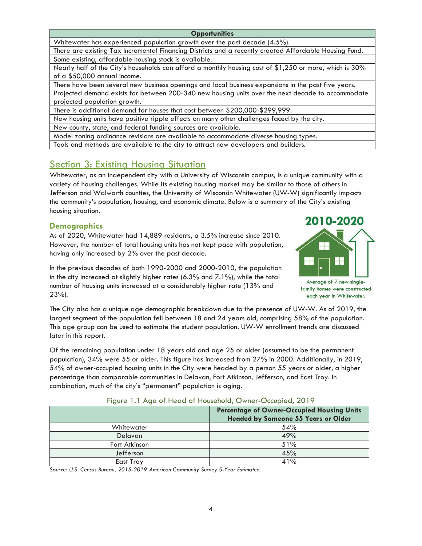Whitewater has experienced population growth over the past decade (4.5%).

There are existing Tax Incremental Financing Districts and a recently created Affordable Housing Fund. Some existing, affordable housing stock is available.

Nearly half of the City's households can afford a monthly housing cost of \$1,250 or more, which is 30% of a \$50,000 annual income.

There have been several new business openings and local business expansions in the past five years.

Projected demand exists for between 200-340 new housing units over the next decade to accommodate projected population growth.

There is additional demand for houses that cost between \$200,000-\$299,999.

New housing units have positive ripple effects on many other challenges faced by the city.

New county, state, and federal funding sources are available.

Model zoning ordinance revisions are available to accommodate diverse housing types.

Tools and methods are available to the city to attract new developers and builders.

# Section 3: Existing Housing Situation

Whitewater, as an independent city with a University of Wisconsin campus, is a unique community with a variety of housing challenges. While its existing housing market may be similar to those of others in Jefferson and Walworth counties, the University of Wisconsin Whitewater (UW-W) significantly impacts the community's population, housing, and economic climate. Below is a summary of the City's existing housing situation.

# **Demographics**

As of 2020, Whitewater had 14,889 residents, a 3.5% increase since 2010. However, the number of total housing units has not kept pace with population, having only increased by 2% over the past decade.

2010-2020 Н 목돈 Average of 7 new singlefamily homes were constructed

In the previous decades of both 1990-2000 and 2000-2010, the population in the city increased at slightly higher rates (6.3% and 7.1%), while the total number of housing units increased at a considerably higher rate (13% and 23%).

each year in Whitewater.

The City also has a unique age demographic breakdown due to the presence of UW-W. As of 2019, the largest segment of the population fell between 18 and 24 years old, comprising 58% of the population. This age group can be used to estimate the student population. UW-W enrollment trends are discussed later in this report.

Of the remaining population under 18 years old and age 25 or older (assumed to be the permanent population), 34% were 55 or older. This figure has increased from 27% in 2000. Additionally, in 2019, 54% of owner-occupied housing units in the City were headed by a person 55 years or older, a higher percentage than comparable communities in Delavan, Fort Atkinson, Jefferson, and East Troy. In combination, much of the city's "permanent" population is aging.

|                | <b>Percentage of Owner-Occupied Housing Units</b><br><b>Headed by Someone 55 Years or Older</b> |
|----------------|-------------------------------------------------------------------------------------------------|
| Whitewater     | 54%                                                                                             |
| <b>Delavan</b> | 49%                                                                                             |
| Fort Atkinson  | 51%                                                                                             |
| Jefferson      | 45%                                                                                             |
| East Troy      | 41%                                                                                             |

|  |  |  |  |  |  | Figure 1.1 Age of Head of Household, Owner-Occupied, 2019 |  |
|--|--|--|--|--|--|-----------------------------------------------------------|--|
|--|--|--|--|--|--|-----------------------------------------------------------|--|

*Source: U.S. Census Bureau, 2015-2019 American Community Survey 5-Year Estimates.*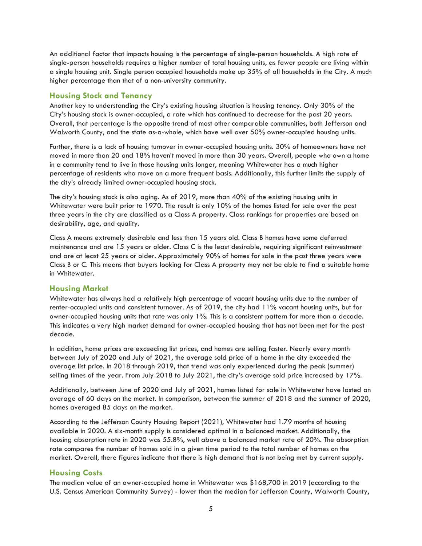An additional factor that impacts housing is the percentage of single-person households. A high rate of single-person households requires a higher number of total housing units, as fewer people are living within a single housing unit. Single person occupied households make up 35% of all households in the City. A much higher percentage than that of a non-university community.

# **Housing Stock and Tenancy**

Another key to understanding the City's existing housing situation is housing tenancy. Only 30% of the City's housing stock is owner-occupied, a rate which has continued to decrease for the past 20 years. Overall, that percentage is the opposite trend of most other comparable communities, both Jefferson and Walworth County, and the state as-a-whole, which have well over 50% owner-occupied housing units.

Further, there is a lack of housing turnover in owner-occupied housing units. 30% of homeowners have not moved in more than 20 and 18% haven't moved in more than 30 years. Overall, people who own a home in a community tend to live in those housing units longer, meaning Whitewater has a much higher percentage of residents who move on a more frequent basis. Additionally, this further limits the supply of the city's already limited owner-occupied housing stock.

The city's housing stock is also aging. As of 2019, more than 40% of the existing housing units in Whitewater were built prior to 1970. The result is only 10% of the homes listed for sale over the past three years in the city are classified as a Class A property. Class rankings for properties are based on desirability, age, and quality.

Class A means extremely desirable and less than 15 years old. Class B homes have some deferred maintenance and are 15 years or older. Class C is the least desirable, requiring significant reinvestment and are at least 25 years or older. Approximately 90% of homes for sale in the past three years were Class B or C. This means that buyers looking for Class A property may not be able to find a suitable home in Whitewater.

# **Housing Market**

Whitewater has always had a relatively high percentage of vacant housing units due to the number of renter-occupied units and consistent turnover. As of 2019, the city had 11% vacant housing units, but for owner-occupied housing units that rate was only 1%. This is a consistent pattern for more than a decade. This indicates a very high market demand for owner-occupied housing that has not been met for the past decade.

In addition, home prices are exceeding list prices, and homes are selling faster. Nearly every month between July of 2020 and July of 2021, the average sold price of a home in the city exceeded the average list price. In 2018 through 2019, that trend was only experienced during the peak (summer) selling times of the year. From July 2018 to July 2021, the city's average sold price increased by 17%.

Additionally, between June of 2020 and July of 2021, homes listed for sale in Whitewater have lasted an average of 60 days on the market. In comparison, between the summer of 2018 and the summer of 2020, homes averaged 85 days on the market.

According to the Jefferson County Housing Report (2021), Whitewater had 1.79 months of housing available in 2020. A six-month supply is considered optimal in a balanced market. Additionally, the housing absorption rate in 2020 was 55.8%, well above a balanced market rate of 20%. The absorption rate compares the number of homes sold in a given time period to the total number of homes on the market. Overall, there figures indicate that there is high demand that is not being met by current supply.

# **Housing Costs**

The median value of an owner-occupied home in Whitewater was \$168,700 in 2019 (according to the U.S. Census American Community Survey) - lower than the median for Jefferson County, Walworth County,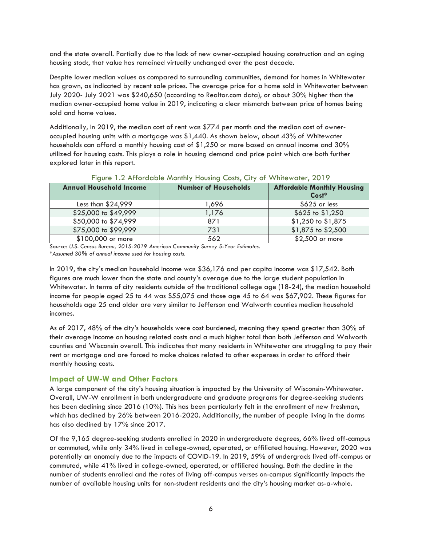and the state overall. Partially due to the lack of new owner-occupied housing construction and an aging housing stock, that value has remained virtually unchanged over the past decade.

Despite lower median values as compared to surrounding communities, demand for homes in Whitewater has grown, as indicated by recent sale prices. The average price for a home sold in Whitewater between July 2020- July 2021 was \$240,650 (according to Realtor.com data), or about 30% higher than the median owner-occupied home value in 2019, indicating a clear mismatch between price of homes being sold and home values.

Additionally, in 2019, the median cost of rent was \$774 per month and the median cost of owneroccupied housing units with a mortgage was \$1,440. As shown below, about 43% of Whitewater households can afford a monthly housing cost of \$1,250 or more based on annual income and 30% utilized for housing costs. This plays a role in housing demand and price point which are both further explored later in this report.

| <b>Annual Household Income</b> | <b>Number of Households</b> | <b>Affordable Monthly Housing</b><br>$Cost*$ |
|--------------------------------|-----------------------------|----------------------------------------------|
| Less than \$24,999             | 696, ا                      | $$625$ or less                               |
| \$25,000 to \$49,999           | 1.176                       | \$625 to \$1,250                             |
| \$50,000 to \$74,999           | 871                         | \$1,250 to \$1,875                           |
| \$75,000 to \$99,999           | 731                         | \$1,875 to \$2,500                           |
| \$100,000 or more              | 562                         | \$2,500 or more                              |

# Figure 1.2 Affordable Monthly Housing Costs, City of Whitewater, 2019

*Source: U.S. Census Bureau, 2015-2019 American Community Survey 5-Year Estimates.* 

*\*Assumed 30% of annual income used for housing costs.* 

In 2019, the city's median household income was \$36,176 and per capita income was \$17,542. Both figures are much lower than the state and county's average due to the large student population in Whitewater. In terms of city residents outside of the traditional college age (18-24), the median household income for people aged 25 to 44 was \$55,075 and those age 45 to 64 was \$67,902. These figures for households age 25 and older are very similar to Jefferson and Walworth counties median household incomes.

As of 2017, 48% of the city's households were cost burdened, meaning they spend greater than 30% of their average income on housing related costs and a much higher total than both Jefferson and Walworth counties and Wisconsin overall. This indicates that many residents in Whitewater are struggling to pay their rent or mortgage and are forced to make choices related to other expenses in order to afford their monthly housing costs.

# **Impact of UW-W and Other Factors**

A large component of the city's housing situation is impacted by the University of Wisconsin-Whitewater. Overall, UW-W enrollment in both undergraduate and graduate programs for degree-seeking students has been declining since 2016 (10%). This has been particularly felt in the enrollment of new freshman, which has declined by 26% between 2016-2020. Additionally, the number of people living in the dorms has also declined by 17% since 2017.

Of the 9,165 degree-seeking students enrolled in 2020 in undergraduate degrees, 66% lived off-campus or commuted, while only 34% lived in college-owned, operated, or affiliated housing. However, 2020 was potentially an anomaly due to the impacts of COVID-19. In 2019, 59% of undergrads lived off-campus or commuted, while 41% lived in college-owned, operated, or affiliated housing. Both the decline in the number of students enrolled and the rates of living off-campus verses on-campus significantly impacts the number of available housing units for non-student residents and the city's housing market as-a-whole.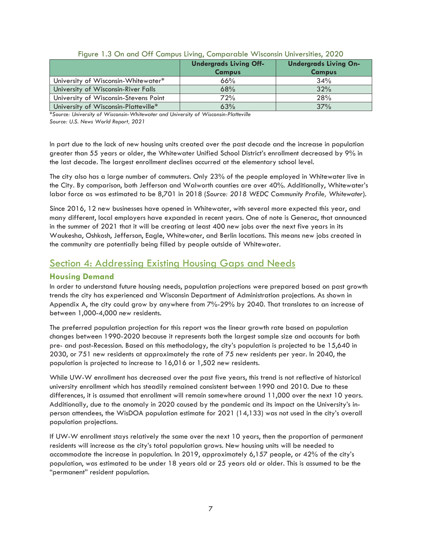|                                       | <b>Undergrads Living Off-</b><br><b>Campus</b> | <b>Undergrads Living On-</b><br><b>Campus</b> |
|---------------------------------------|------------------------------------------------|-----------------------------------------------|
| University of Wisconsin-Whitewater*   | 66%                                            | 34%                                           |
| University of Wisconsin-River Falls   | 68%                                            | 32%                                           |
| University of Wisconsin-Stevens Point | 72%                                            | 28%                                           |
| University of Wisconsin-Platteville*  | 63%                                            | 37%                                           |

*\*Source: University of Wisconsin-Whitewater and University of Wisconsin-Platteville* 

*Source: U.S. News World Report, 2021* 

In part due to the lack of new housing units created over the past decade and the increase in population greater than 55 years or older, the Whitewater Unified School District's enrollment decreased by 9% in the last decade. The largest enrollment declines occurred at the elementary school level.

The city also has a large number of commuters. Only 23% of the people employed in Whitewater live in the City. By comparison, both Jefferson and Walworth counties are over 40%. Additionally, Whitewater's labor force as was estimated to be 8,701 in 2018 (*Source: 2018 WEDC Community Profile, Whitewater*).

Since 2016, 12 new businesses have opened in Whitewater, with several more expected this year, and many different, local employers have expanded in recent years. One of note is Generac, that announced in the summer of 2021 that it will be creating at least 400 new jobs over the next five years in its Waukesha, Oshkosh, Jefferson, Eagle, Whitewater, and Berlin locations. This means new jobs created in the community are potentially being filled by people outside of Whitewater.

# Section 4: Addressing Existing Housing Gaps and Needs

# **Housing Demand**

In order to understand future housing needs, population projections were prepared based on past growth trends the city has experienced and Wisconsin Department of Administration projections. As shown in Appendix A, the city could grow by anywhere from 7%-29% by 2040. That translates to an increase of between 1,000-4,000 new residents.

The preferred population projection for this report was the linear growth rate based on population changes between 1990-2020 because it represents both the largest sample size and accounts for both pre- and post-Recession. Based on this methodology, the city's population is projected to be 15,640 in 2030, or 751 new residents at approximately the rate of 75 new residents per year. In 2040, the population is projected to increase to 16,016 or 1,502 new residents.

While UW-W enrollment has decreased over the past five years, this trend is not reflective of historical university enrollment which has steadily remained consistent between 1990 and 2010. Due to these differences, it is assumed that enrollment will remain somewhere around 11,000 over the next 10 years. Additionally, due to the anomaly in 2020 caused by the pandemic and its impact on the University's inperson attendees, the WisDOA population estimate for 2021 (14,133) was not used in the city's overall population projections.

If UW-W enrollment stays relatively the same over the next 10 years, then the proportion of permanent residents will increase as the city's total population grows. New housing units will be needed to accommodate the increase in population. In 2019, approximately 6,157 people, or 42% of the city's population, was estimated to be under 18 years old or 25 years old or older. This is assumed to be the "permanent" resident population.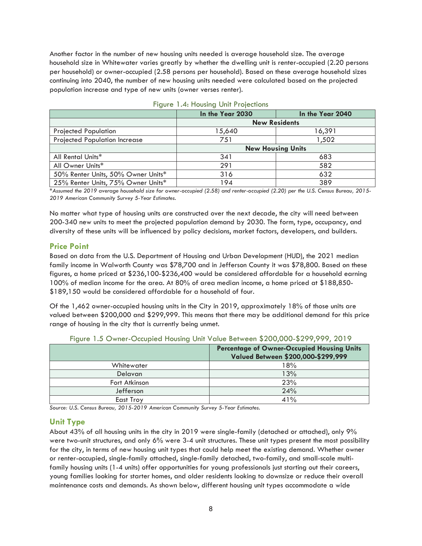Another factor in the number of new housing units needed is average household size. The average household size in Whitewater varies greatly by whether the dwelling unit is renter-occupied (2.20 persons per household) or owner-occupied (2.58 persons per household). Based on these average household sizes continuing into 2040, the number of new housing units needed were calculated based on the projected population increase and type of new units (owner verses renter).

|                                    | In the Year 2030         | In the Year 2040 |  |
|------------------------------------|--------------------------|------------------|--|
|                                    | <b>New Residents</b>     |                  |  |
| <b>Projected Population</b>        | 15,640                   | 16,391           |  |
| Projected Population Increase      | 751                      | 1,502            |  |
|                                    | <b>New Housing Units</b> |                  |  |
| All Rental Units*                  | 341                      | 683              |  |
| All Owner Units*                   | 291                      | 582              |  |
| 50% Renter Units, 50% Owner Units* | 316                      | 632              |  |
| 25% Renter Units, 75% Owner Units* | 194                      | 389              |  |

|  |  |  | Figure 1.4: Housing Unit Projections |
|--|--|--|--------------------------------------|
|--|--|--|--------------------------------------|

*\*Assumed the 2019 average household size for owner-occupied (2.58) and renter-occupied (2.20) per the U.S. Census Bureau, 2015- 2019 American Community Survey 5-Year Estimates.* 

No matter what type of housing units are constructed over the next decade, the city will need between 200-340 new units to meet the projected population demand by 2030. The form, type, occupancy, and diversity of these units will be influenced by policy decisions, market factors, developers, and builders.

# **Price Point**

Based on data from the U.S. Department of Housing and Urban Development (HUD), the 2021 median family income in Walworth County was \$78,700 and in Jefferson County it was \$78,800. Based on these figures, a home priced at \$236,100-\$236,400 would be considered affordable for a household earning 100% of median income for the area. At 80% of area median income, a home priced at \$188,850- \$189,150 would be considered affordable for a household of four.

Of the 1,462 owner-occupied housing units in the City in 2019, approximately 18% of those units are valued between \$200,000 and \$299,999. This means that there may be additional demand for this price range of housing in the city that is currently being unmet.

|                | <b>Percentage of Owner-Occupied Housing Units</b><br>Valued Between \$200,000-\$299,999 |
|----------------|-----------------------------------------------------------------------------------------|
| Whitewater     | 18%                                                                                     |
| <b>Delavan</b> | 13%                                                                                     |
| Fort Atkinson  | 23%                                                                                     |
| Jefferson      | 24%                                                                                     |
| East Troy      | 41%                                                                                     |

Figure 1.5 Owner-Occupied Housing Unit Value Between \$200,000-\$299,999, 2019

*Source: U.S. Census Bureau, 2015-2019 American Community Survey 5-Year Estimates.* 

# **Unit Type**

About 43% of all housing units in the city in 2019 were single-family (detached or attached), only 9% were two-unit structures, and only 6% were 3-4 unit structures. These unit types present the most possibility for the city, in terms of new housing unit types that could help meet the existing demand. Whether owner or renter-occupied, single-family attached, single-family detached, two-family, and small-scale multifamily housing units (1-4 units) offer opportunities for young professionals just starting out their careers, young families looking for starter homes, and older residents looking to downsize or reduce their overall maintenance costs and demands. As shown below, different housing unit types accommodate a wide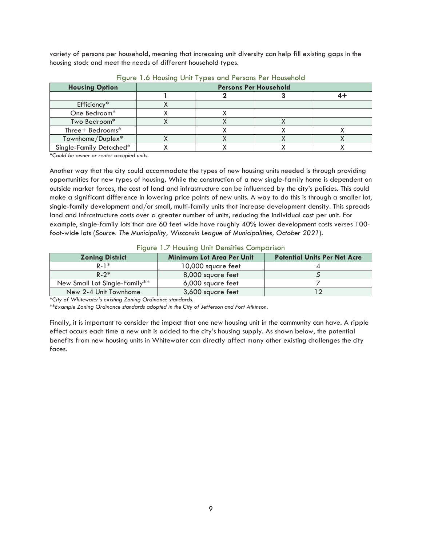variety of persons per household, meaning that increasing unit diversity can help fill existing gaps in the housing stock and meet the needs of different household types.

| <b>Housing Option</b>   | <b>Persons Per Household</b> |  |  |  |
|-------------------------|------------------------------|--|--|--|
|                         |                              |  |  |  |
| Efficiency*             |                              |  |  |  |
| One Bedroom*            |                              |  |  |  |
| Two Bedroom*            |                              |  |  |  |
| Three+ Bedrooms*        |                              |  |  |  |
| Townhome/Duplex*        |                              |  |  |  |
| Single-Family Detached* |                              |  |  |  |

#### Figure 1.6 Housing Unit Types and Persons Per Household

*\*Could be owner or renter occupied units.* 

Another way that the city could accommodate the types of new housing units needed is through providing opportunities for new types of housing. While the construction of a new single-family home is dependent on outside market forces, the cost of land and infrastructure can be influenced by the city's policies. This could make a significant difference in lowering price points of new units. A way to do this is through a smaller lot, single-family development and/or small, multi-family units that increase development density. This spreads land and infrastructure costs over a greater number of units, reducing the individual cost per unit. For example, single-family lots that are 60 feet wide have roughly 40% lower development costs verses 100 foot-wide lots (*Source: The Municipality, Wisconsin League of Municipalities, October 2021*).

|  |  |  |  |  | Figure 1.7 Housing Unit Densities Comparison |
|--|--|--|--|--|----------------------------------------------|
|--|--|--|--|--|----------------------------------------------|

| <b>Zoning District</b>        | <b>Minimum Lot Area Per Unit</b> | <b>Potential Units Per Net Acre</b> |
|-------------------------------|----------------------------------|-------------------------------------|
| $R-1$ *                       | 10,000 square feet               |                                     |
| $R - 2^*$                     | 8,000 square feet                |                                     |
| New Small Lot Single-Family** | 6,000 square feet                |                                     |
| New 2-4 Unit Townhome         | 3,600 square feet                |                                     |

*\*City of Whitewater's existing Zoning Ordinance standards.* 

*\*\*Example Zoning Ordinance standards adopted in the City of Jefferson and Fort Atkinson.* 

Finally, it is important to consider the impact that one new housing unit in the community can have. A ripple effect occurs each time a new unit is added to the city's housing supply. As shown below, the potential benefits from new housing units in Whitewater can directly affect many other existing challenges the city faces.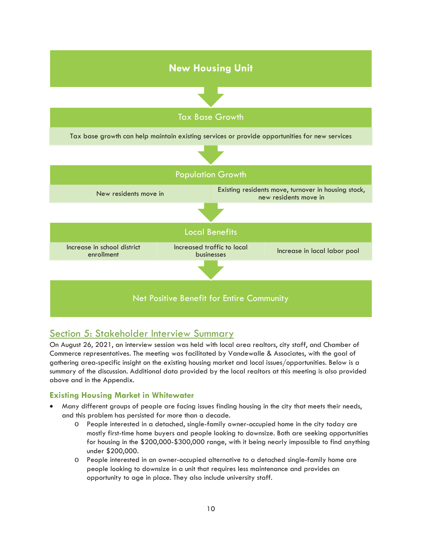

# Section 5: Stakeholder Interview Summary

On August 26, 2021, an interview session was held with local area realtors, city staff, and Chamber of Commerce representatives. The meeting was facilitated by Vandewalle & Associates, with the goal of gathering area-specific insight on the existing housing market and local issues/opportunities. Below is a summary of the discussion. Additional data provided by the local realtors at this meeting is also provided above and in the Appendix.

# **Existing Housing Market in Whitewater**

- x Many different groups of people are facing issues finding housing in the city that meets their needs, and this problem has persisted for more than a decade.
	- o People interested in a detached, single-family owner-occupied home in the city today are mostly first-time home buyers and people looking to downsize. Both are seeking opportunities for housing in the \$200,000-\$300,000 range, with it being nearly impossible to find anything under \$200,000.
	- o People interested in an owner-occupied alternative to a detached single-family home are people looking to downsize in a unit that requires less maintenance and provides an opportunity to age in place. They also include university staff.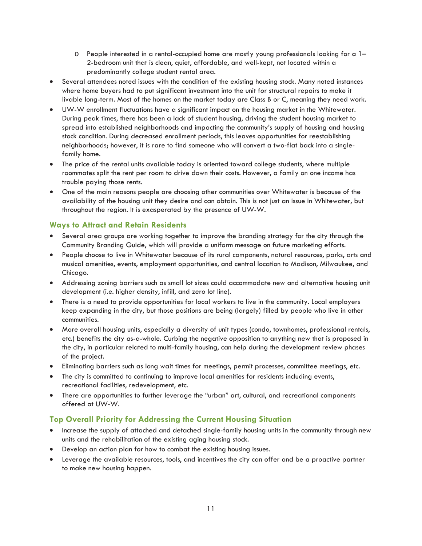- $\circ$  People interested in a rental-occupied home are mostly young professionals looking for a 1– 2-bedroom unit that is clean, quiet, affordable, and well-kept, not located within a predominantly college student rental area.
- Several attendees noted issues with the condition of the existing housing stock. Many noted instances where home buyers had to put significant investment into the unit for structural repairs to make it livable long-term. Most of the homes on the market today are Class B or C, meaning they need work.
- UW-W enrollment fluctuations have a significant impact on the housing market in the Whitewater. During peak times, there has been a lack of student housing, driving the student housing market to spread into established neighborhoods and impacting the community's supply of housing and housing stock condition. During decreased enrollment periods, this leaves opportunities for reestablishing neighborhoods; however, it is rare to find someone who will convert a two-flat back into a singlefamily home.
- The price of the rental units available today is oriented toward college students, where multiple roommates split the rent per room to drive down their costs. However, a family on one income has trouble paying those rents.
- One of the main reasons people are choosing other communities over Whitewater is because of the availability of the housing unit they desire and can obtain. This is not just an issue in Whitewater, but throughout the region. It is exasperated by the presence of UW-W.

# **Ways to Attract and Retain Residents**

- Several area groups are working together to improve the branding strategy for the city through the Community Branding Guide, which will provide a uniform message on future marketing efforts.
- People choose to live in Whitewater because of its rural components, natural resources, parks, arts and musical amenities, events, employment opportunities, and central location to Madison, Milwaukee, and Chicago.
- Addressing zoning barriers such as small lot sizes could accommodate new and alternative housing unit development (i.e. higher density, infill, and zero lot line).
- There is a need to provide opportunities for local workers to live in the community. Local employers keep expanding in the city, but those positions are being (largely) filled by people who live in other communities.
- More overall housing units, especially a diversity of unit types (condo, townhomes, professional rentals, etc.) benefits the city as-a-whole. Curbing the negative opposition to anything new that is proposed in the city, in particular related to multi-family housing, can help during the development review phases of the project.
- x Eliminating barriers such as long wait times for meetings, permit processes, committee meetings, etc.
- The city is committed to continuing to improve local amenities for residents including events, recreational facilities, redevelopment, etc.
- There are opportunities to further leverage the "urban" art, cultural, and recreational components offered at UW-W.

# **Top Overall Priority for Addressing the Current Housing Situation**

- Increase the supply of attached and detached single-family housing units in the community through new units and the rehabilitation of the existing aging housing stock.
- Develop an action plan for how to combat the existing housing issues.
- Leverage the available resources, tools, and incentives the city can offer and be a proactive partner to make new housing happen.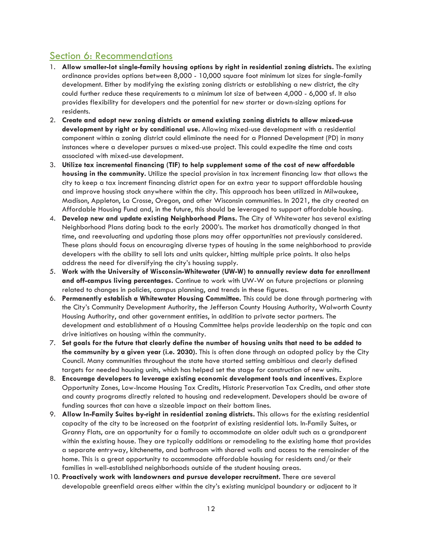# Section 6: Recommendations

- 1. **Allow smaller-lot single-family housing options by right in residential zoning districts.** The existing ordinance provides options between 8,000 - 10,000 square foot minimum lot sizes for single-family development. Either by modifying the existing zoning districts or establishing a new district, the city could further reduce these requirements to a minimum lot size of between 4,000 - 6,000 sf. It also provides flexibility for developers and the potential for new starter or down-sizing options for residents.
- 2. **Create and adopt new zoning districts or amend existing zoning districts to allow mixed-use development by right or by conditional use.** Allowing mixed-use development with a residential component within a zoning district could eliminate the need for a Planned Development (PD) in many instances where a developer pursues a mixed-use project. This could expedite the time and costs associated with mixed-use development.
- 3. **Utilize tax incremental financing (TIF) to help supplement some of the cost of new affordable housing in the community.** Utilize the special provision in tax increment financing law that allows the city to keep a tax increment financing district open for an extra year to support affordable housing and improve housing stock anywhere within the city. This approach has been utilized in Milwaukee, Madison, Appleton, La Crosse, Oregon, and other Wisconsin communities. In 2021, the city created an Affordable Housing Fund and, in the future, this should be leveraged to support affordable housing.
- 4. **Develop new and update existing Neighborhood Plans.** The City of Whitewater has several existing Neighborhood Plans dating back to the early 2000's. The market has dramatically changed in that time, and reevaluating and updating those plans may offer opportunities not previously considered. These plans should focus on encouraging diverse types of housing in the same neighborhood to provide developers with the ability to sell lots and units quicker, hitting multiple price points. It also helps address the need for diversifying the city's housing supply.
- 5. **Work with the University of Wisconsin-Whitewater (UW-W) to annually review data for enrollment and off-campus living percentages.** Continue to work with UW-W on future projections or planning related to changes in policies, campus planning, and trends in these figures.
- 6. **Permanently establish a Whitewater Housing Committee.** This could be done through partnering with the City's Community Development Authority, the Jefferson County Housing Authority, Walworth County Housing Authority, and other government entities, in addition to private sector partners. The development and establishment of a Housing Committee helps provide leadership on the topic and can drive initiatives on housing within the community.
- 7. **Set goals for the future that clearly define the number of housing units that need to be added to the community by a given year (i.e. 2030).** This is often done through an adopted policy by the City Council. Many communities throughout the state have started setting ambitious and clearly defined targets for needed housing units, which has helped set the stage for construction of new units.
- 8. **Encourage developers to leverage existing economic development tools and incentives.** Explore Opportunity Zones, Low-Income Housing Tax Credits, Historic Preservation Tax Credits, and other state and county programs directly related to housing and redevelopment. Developers should be aware of funding sources that can have a sizeable impact on their bottom lines.
- 9. **Allow In-Family Suites by-right in residential zoning districts.** This allows for the existing residential capacity of the city to be increased on the footprint of existing residential lots. In-Family Suites, or Granny Flats, are an opportunity for a family to accommodate an older adult such as a grandparent within the existing house. They are typically additions or remodeling to the existing home that provides a separate entryway, kitchenette, and bathroom with shared walls and access to the remainder of the home. This is a great opportunity to accommodate affordable housing for residents and/or their families in well-established neighborhoods outside of the student housing areas.
- 10. **Proactively work with landowners and pursue developer recruitment.** There are several developable greenfield areas either within the city's existing municipal boundary or adjacent to it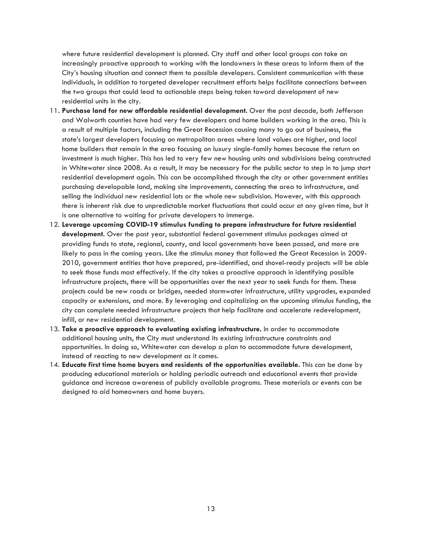where future residential development is planned. City staff and other local groups can take an increasingly proactive approach to working with the landowners in these areas to inform them of the City's housing situation and connect them to possible developers. Consistent communication with these individuals, in addition to targeted developer recruitment efforts helps facilitate connections between the two groups that could lead to actionable steps being taken toward development of new residential units in the city.

- 11. **Purchase land for new affordable residential development.** Over the past decade, both Jefferson and Walworth counties have had very few developers and home builders working in the area. This is a result of multiple factors, including the Great Recession causing many to go out of business, the state's largest developers focusing on metropolitan areas where land values are higher, and local home builders that remain in the area focusing on luxury single-family homes because the return on investment is much higher. This has led to very few new housing units and subdivisions being constructed in Whitewater since 2008. As a result, it may be necessary for the public sector to step in to jump start residential development again. This can be accomplished through the city or other government entities purchasing developable land, making site improvements, connecting the area to infrastructure, and selling the individual new residential lots or the whole new subdivision. However, with this approach there is inherent risk due to unpredictable market fluctuations that could occur at any given time, but it is one alternative to waiting for private developers to immerge.
- 12. **Leverage upcoming COVID-19 stimulus funding to prepare infrastructure for future residential development.** Over the past year, substantial federal government stimulus packages aimed at providing funds to state, regional, county, and local governments have been passed, and more are likely to pass in the coming years. Like the stimulus money that followed the Great Recession in 2009- 2010, government entities that have prepared, pre-identified, and shovel-ready projects will be able to seek those funds most effectively. If the city takes a proactive approach in identifying possible infrastructure projects, there will be opportunities over the next year to seek funds for them. These projects could be new roads or bridges, needed stormwater infrastructure, utility upgrades, expanded capacity or extensions, and more. By leveraging and capitalizing on the upcoming stimulus funding, the city can complete needed infrastructure projects that help facilitate and accelerate redevelopment, infill, or new residential development.
- 13. **Take a proactive approach to evaluating existing infrastructure.** In order to accommodate additional housing units, the City must understand its existing infrastructure constraints and opportunities. In doing so, Whitewater can develop a plan to accommodate future development, instead of reacting to new development as it comes.
- 14. **Educate first time home buyers and residents of the opportunities available.** This can be done by producing educational materials or holding periodic outreach and educational events that provide guidance and increase awareness of publicly available programs. These materials or events can be designed to aid homeowners and home buyers.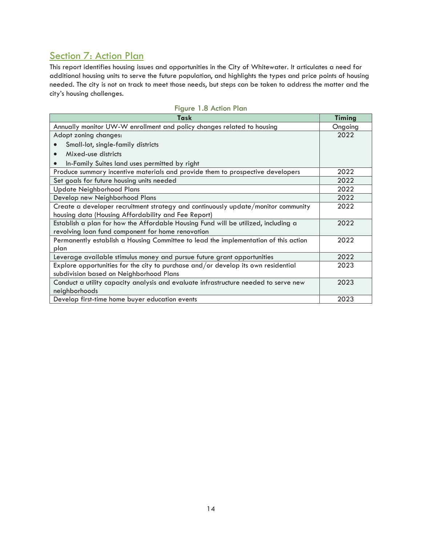# Section 7: Action Plan

This report identifies housing issues and opportunities in the City of Whitewater. It articulates a need for additional housing units to serve the future population, and highlights the types and price points of housing needed. The city is not on track to meet those needs, but steps can be taken to address the matter and the city's housing challenges.

| Task                                                                                | <b>Timing</b> |
|-------------------------------------------------------------------------------------|---------------|
| Annually monitor UW-W enrollment and policy changes related to housing              | Ongoing       |
| Adopt zoning changes:                                                               | 2022          |
| Small-lot, single-family districts                                                  |               |
| Mixed-use districts                                                                 |               |
| In-Family Suites land uses permitted by right                                       |               |
| Produce summary incentive materials and provide them to prospective developers      | 2022          |
| Set goals for future housing units needed                                           | 2022          |
| <b>Update Neighborhood Plans</b>                                                    | 2022          |
| Develop new Neighborhood Plans                                                      | 2022          |
| Create a developer recruitment strategy and continuously update/monitor community   | 2022          |
| housing data (Housing Affordability and Fee Report)                                 |               |
| Establish a plan for how the Affordable Housing Fund will be utilized, including a  | 2022          |
| revolving loan fund component for home renovation                                   |               |
| Permanently establish a Housing Committee to lead the implementation of this action | 2022          |
| plan                                                                                |               |
| Leverage available stimulus money and pursue future grant opportunities             | 2022          |
| Explore opportunities for the city to purchase and/or develop its own residential   | 2023          |
| subdivision based on Neighborhood Plans                                             |               |
| Conduct a utility capacity analysis and evaluate infrastructure needed to serve new | 2023          |
| neighborhoods                                                                       |               |
| Develop first-time home buyer education events                                      | 2023          |

|  | Figure 1.8 Action Plan |  |
|--|------------------------|--|
|  |                        |  |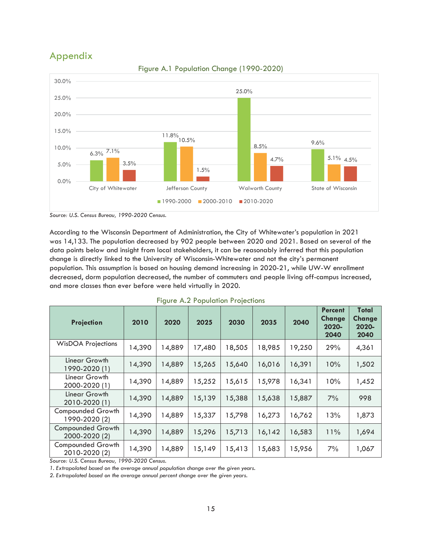# Appendix



Figure A.1 Population Change (1990-2020)

*Source: U.S. Census Bureau, 1990-2020 Census.* 

According to the Wisconsin Department of Administration, the City of Whitewater's population in 2021 was 14,133. The population decreased by 902 people between 2020 and 2021. Based on several of the data points below and insight from local stakeholders, it can be reasonably inferred that this population change is directly linked to the University of Wisconsin-Whitewater and not the city's permanent population. This assumption is based on housing demand increasing in 2020-21, while UW-W enrollment decreased, dorm population decreased, the number of commuters and people living off-campus increased, and more classes than ever before were held virtually in 2020.

| Projection                                | 2010   | 2020   | 2025   | 2030   | 2035   | 2040   | <b>Percent</b><br><b>Change</b><br>2020-<br>2040 | Total<br><b>Change</b><br>2020-<br>2040 |
|-------------------------------------------|--------|--------|--------|--------|--------|--------|--------------------------------------------------|-----------------------------------------|
| <b>WisDOA Projections</b>                 | 14,390 | 14,889 | 17,480 | 18,505 | 18,985 | 19,250 | 29%                                              | 4,361                                   |
| Linear Growth<br>1990-2020 (1)            | 14,390 | 14,889 | 15,265 | 15,640 | 16,016 | 16,391 | 10%                                              | 1,502                                   |
| Linear Growth<br>2000-2020 (1)            | 14,390 | 14,889 | 15,252 | 15,615 | 15,978 | 16,341 | 10%                                              | 1,452                                   |
| Linear Growth<br>2010-2020 (1)            | 14,390 | 14,889 | 15,139 | 15,388 | 15,638 | 15,887 | 7%                                               | 998                                     |
| <b>Compounded Growth</b><br>1990-2020 (2) | 14,390 | 14,889 | 15,337 | 15,798 | 16,273 | 16,762 | 13%                                              | 1,873                                   |
| <b>Compounded Growth</b><br>2000-2020 (2) | 14,390 | 14,889 | 15,296 | 15,713 | 16,142 | 16,583 | 11%                                              | 1,694                                   |
| <b>Compounded Growth</b><br>2010-2020 (2) | 14,390 | 14,889 | 15,149 | 15,413 | 15,683 | 15,956 | 7%                                               | 1,067                                   |

|  |  | <b>Figure A.2 Population Projections</b> |
|--|--|------------------------------------------|
|--|--|------------------------------------------|

*Source: U.S. Census Bureau, 1990-2020 Census.* 

*1. Extrapolated based on the average annual population change over the given years.* 

*2. Extrapolated based on the average annual percent change over the given years.*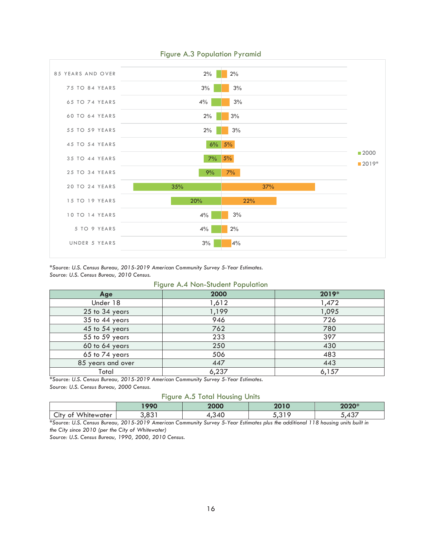

# Figure A.3 Population Pyramid

*\*Source: U.S. Census Bureau, 2015-2019 American Community Survey 5-Year Estimates. Source: U.S. Census Bureau, 2010 Census.* 

Figure A.4 Non-Student Population

|                   | $\tilde{\phantom{a}}$ |       |
|-------------------|-----------------------|-------|
| Age               | 2000                  | 2019* |
| Under 18          | 1,612                 | 1,472 |
| 25 to 34 years    | 1,199                 | 1,095 |
| 35 to 44 years    | 946                   | 726   |
| 45 to 54 years    | 762                   | 780   |
| 55 to 59 years    | 233                   | 397   |
| 60 to 64 years    | 250                   | 430   |
| 65 to 74 years    | 506                   | 483   |
| 85 years and over | 447                   | 443   |
| Total             | 6,237                 | 6,157 |

*\*Source: U.S. Census Bureau, 2015-2019 American Community Survey 5-Year Estimates. Source: U.S. Census Bureau, 2000 Census.* 

#### Figure A.5 Total Housing Units

|                                                     | 1000<br>77 V | 2000                     | 001C<br>20 I U | *חרחר       |
|-----------------------------------------------------|--------------|--------------------------|----------------|-------------|
| $M/$ hitay<br><b>∽.</b><br>vater<br>uty of<br>nıtew | ∍ ∩ ∂ ،      | $\overline{\phantom{a}}$ | $\sim$ $\sim$  | $\sim$<br>ີ |

*\*Source: U.S. Census Bureau, 2015-2019 American Community Survey 5-Year Estimates plus the additional 118 housing units built in the City since 2010 (per the City of Whitewater)* 

*Source: U.S. Census Bureau, 1990, 2000, 2010 Census.*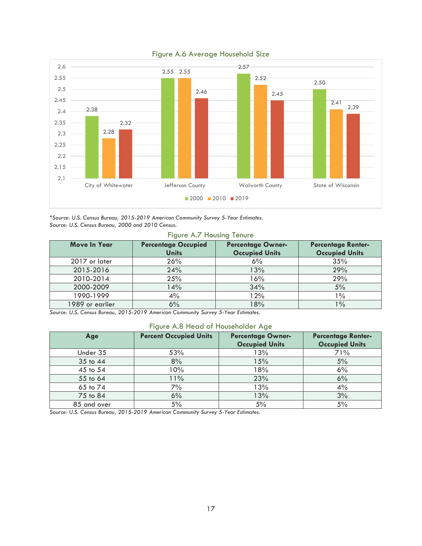

# Figure A.6 Average Household Size

*\*Source: U.S. Census Bureau, 2015-2019 American Community Survey 5-Year Estimates. Source: U.S. Census Bureau, 2000 and 2010 Census.* 

#### Figure A.7 Housing Tenure

| <b>Move In Year</b> | <b>Percentage Occupied</b><br><b>Units</b> | <b>Percentage Owner-</b><br><b>Occupied Units</b> |       |
|---------------------|--------------------------------------------|---------------------------------------------------|-------|
| 2017 or later       | 26%                                        | 6%                                                | 35%   |
| 2015-2016           | 24%                                        | 13%                                               | 29%   |
| 2010-2014           | 25%                                        | 16%                                               | 29%   |
| 2000-2009           | 14%                                        | 34%                                               | 5%    |
| 1990-1999           | 4%                                         | 12%                                               | $1\%$ |
| 1989 or earlier     | 6%                                         | 18%                                               | $1\%$ |

*Source: U.S. Census Bureau, 2015-2019 American Community Survey 5-Year Estimates.* 

# Figure A.8 Head of Householder Age

| Age         | <b>Percent Occupied Units</b> | <b>Percentage Owner-</b><br><b>Occupied Units</b> | <b>Percentage Renter-</b><br><b>Occupied Units</b> |
|-------------|-------------------------------|---------------------------------------------------|----------------------------------------------------|
| Under 35    | 53%                           | 13%                                               | 71%                                                |
| 35 to 44    | 8%                            | 15%                                               | 5%                                                 |
| 45 to 54    | 10%                           | 18%                                               | 6%                                                 |
| 55 to 64    | 11%                           | 23%                                               | 6%                                                 |
| 65 to 74    | 7%                            | 13%                                               | 4%                                                 |
| 75 to 84    | 6%                            | 13%                                               | 3%                                                 |
| 85 and over | 5%                            | 5%                                                | 5%                                                 |

*Source: U.S. Census Bureau, 2015-2019 American Community Survey 5-Year Estimates.*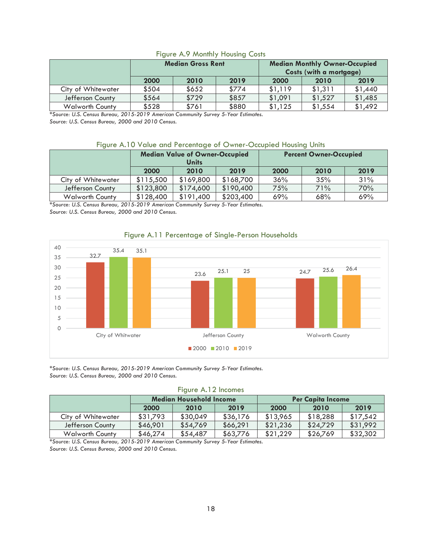# Figure A.9 Monthly Housing Costs

|                        | <b>Median Gross Rent</b> |       |       |         | <b>Median Monthly Owner-Occupied</b><br>Costs (with a mortgage) |         |  |
|------------------------|--------------------------|-------|-------|---------|-----------------------------------------------------------------|---------|--|
|                        | 2000<br>2019<br>2010     |       |       | 2000    | 2010                                                            | 2019    |  |
| City of Whitewater     | \$504                    | \$652 | \$774 | \$1,119 | \$1,311                                                         | \$1,440 |  |
| Jefferson County       | \$564                    | \$729 | \$857 | \$1,091 | \$1,527                                                         | \$1,485 |  |
| <b>Walworth County</b> | \$528                    | \$761 | \$880 | \$1,125 | \$1,554                                                         | \$1,492 |  |

*\*Source: U.S. Census Bureau, 2015-2019 American Community Survey 5-Year Estimates. Source: U.S. Census Bureau, 2000 and 2010 Census.* 

#### Figure A.10 Value and Percentage of Owner-Occupied Housing Units

|                        | <b>Median Value of Owner-Occupied</b><br><b>Units</b> |           |           |      | <b>Percent Owner-Occupied</b> |      |
|------------------------|-------------------------------------------------------|-----------|-----------|------|-------------------------------|------|
|                        | 2010<br>2000<br>2019                                  |           |           | 2000 | 2010                          | 2019 |
| City of Whitewater     | \$115,500                                             | \$169,800 | \$168,700 | 36%  | 35%                           | 31%  |
| Jefferson County       | \$123,800                                             | \$174,600 | \$190,400 | 75%  | 71%                           | 70%  |
| <b>Walworth County</b> | \$128,400                                             | \$191,400 | \$203,400 | 69%  | 68%                           | 69%  |

*\*Source: U.S. Census Bureau, 2015-2019 American Community Survey 5-Year Estimates. Source: U.S. Census Bureau, 2000 and 2010 Census.* 



# Figure A.11 Percentage of Single-Person Households

*\*Source: U.S. Census Bureau, 2015-2019 American Community Survey 5-Year Estimates. Source: U.S. Census Bureau, 2000 and 2010 Census.* 

| <b>I</b> IGUIG A.IZ IIICUIIIGS |                                |          |          |          |                          |          |  |
|--------------------------------|--------------------------------|----------|----------|----------|--------------------------|----------|--|
|                                | <b>Median Household Income</b> |          |          |          | <b>Per Capita Income</b> |          |  |
|                                | 2000                           | 2010     | 2019     | 2000     | 2010                     | 2019     |  |
| City of Whitewater             | \$31,793                       | \$30,049 | \$36,176 | \$13,965 | \$18,288                 | \$17,542 |  |
| Jefferson County               | \$46,901                       | \$54,769 | \$66,291 | \$21,236 | \$24,729                 | \$31,992 |  |
| <b>Walworth County</b>         | \$46,274                       | \$54,487 | \$63,776 | \$21,229 | \$26,769                 | \$32,302 |  |

# Figure A.12 Incomes

*\*Source: U.S. Census Bureau, 2015-2019 American Community Survey 5-Year Estimates. Source: U.S. Census Bureau, 2000 and 2010 Census.*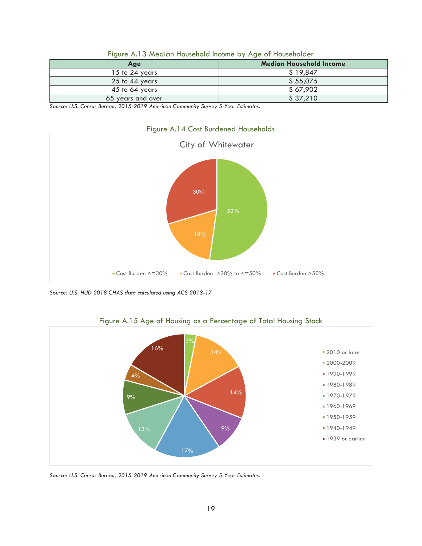| Age               | <b>Median Household Income</b> |
|-------------------|--------------------------------|
| 15 to 24 years    | \$19,847                       |
| 25 to 44 years    | \$55,075                       |
| 45 to 64 years    | \$67,902                       |
| 65 years and over | \$37,210                       |

| Figure A.13 Median Household Income by Age of Householder |  |  |  |  |  |  |  |  |  |
|-----------------------------------------------------------|--|--|--|--|--|--|--|--|--|
|-----------------------------------------------------------|--|--|--|--|--|--|--|--|--|

*Source: U.S. Census Bureau, 2015-2019 American Community Survey 5-Year Estimates.* 



Figure A.14 Cost Burdened Households

*Source: U.S. HUD 2018 CHAS data calculated using ACS 2013-17* 



Figure A.15 Age of Housing as a Percentage of Total Housing Stock

*Source: U.S. Census Bureau, 2015-2019 American Community Survey 5-Year Estimates.*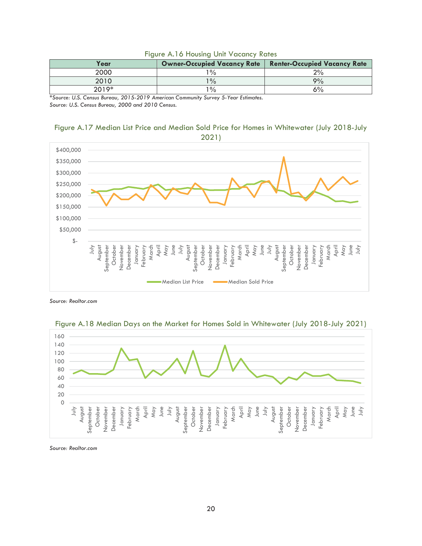| Year    | <b>Owner-Occupied Vacancy Rate</b> | <b>Renter-Occupied Vacancy Rate</b> |
|---------|------------------------------------|-------------------------------------|
| 2000    | $^{\circ}$ %                       | 2%                                  |
| 2010    | $1\frac{0}{0}$                     | 9%                                  |
| $2019*$ | $\frac{10}{6}$                     | 6%                                  |

#### Figure A.16 Housing Unit Vacancy Rates

*\*Source: U.S. Census Bureau, 2015-2019 American Community Survey 5-Year Estimates. Source: U.S. Census Bureau, 2000 and 2010 Census.* 

# Figure A.17 Median List Price and Median Sold Price for Homes in Whitewater (July 2018-July 2021)



*Source: Realtor.com* 





*Source: Realtor.com*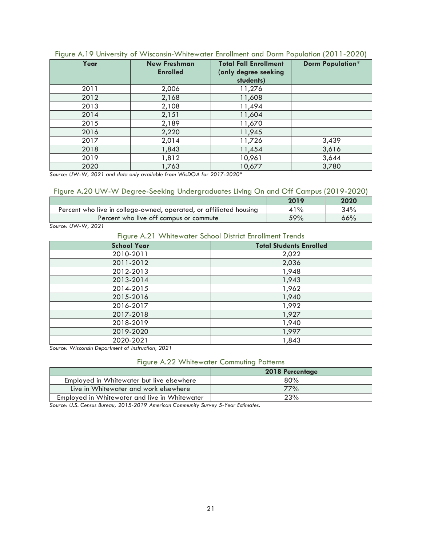| Year | <b>New Freshman</b><br><b>Enrolled</b> | <b>Total Fall Enrollment</b><br>(only degree seeking<br>students) | <b>Dorm Population*</b> |
|------|----------------------------------------|-------------------------------------------------------------------|-------------------------|
| 2011 | 2,006                                  | 11,276                                                            |                         |
| 2012 | 2,168                                  | 11,608                                                            |                         |
| 2013 | 2,108                                  | 11,494                                                            |                         |
| 2014 | 2,151                                  | 11,604                                                            |                         |
| 2015 | 2,189                                  | 11,670                                                            |                         |
| 2016 | 2,220                                  | 11,945                                                            |                         |
| 2017 | 2,014                                  | 11,726                                                            | 3,439                   |
| 2018 | 1,843                                  | 11,454                                                            | 3,616                   |
| 2019 | 1,812                                  | 10,961                                                            | 3,644                   |
| 2020 | 1,763                                  | 10,677                                                            | 3,780                   |

#### Figure A.19 University of Wisconsin-Whitewater Enrollment and Dorm Population (2011-2020)

*Source: UW-W, 2021 and data only available from WisDOA for 2017-2020\** 

#### Figure A.20 UW-W Degree-Seeking Undergraduates Living On and Off Campus (2019-2020)

|                                                                    | 2019  | 2020 |
|--------------------------------------------------------------------|-------|------|
| Percent who live in college-owned, operated, or affiliated housing | $1\%$ | 34%  |
| Percent who live off campus or commute                             | 59%   | 66%  |

*Source: UW-W, 2021* 

#### Figure A.21 Whitewater School District Enrollment Trends

| $\tilde{\phantom{a}}$<br><b>School Year</b> | <b>Total Students Enrolled</b> |
|---------------------------------------------|--------------------------------|
| 2010-2011                                   | 2,022                          |
| 2011-2012                                   | 2,036                          |
| 2012-2013                                   | 1,948                          |
| 2013-2014                                   | 1,943                          |
| 2014-2015                                   | 1,962                          |
| 2015-2016                                   | 1,940                          |
| 2016-2017                                   | 1,992                          |
| 2017-2018                                   | 1,927                          |
| 2018-2019                                   | 1,940                          |
| 2019-2020                                   | 1,997                          |
| 2020-2021                                   | 1,843                          |

*Source: Wisconsin Department of Instruction, 2021* 

# Figure A.22 Whitewater Commuting Patterns

|                                               | <b>2018 Percentage</b> |
|-----------------------------------------------|------------------------|
| Employed in Whitewater but live elsewhere     | 80%                    |
| Live in Whitewater and work elsewhere         | 77%                    |
| Employed in Whitewater and live in Whitewater | 23%                    |

*Source: U.S. Census Bureau, 2015-2019 American Community Survey 5-Year Estimates.*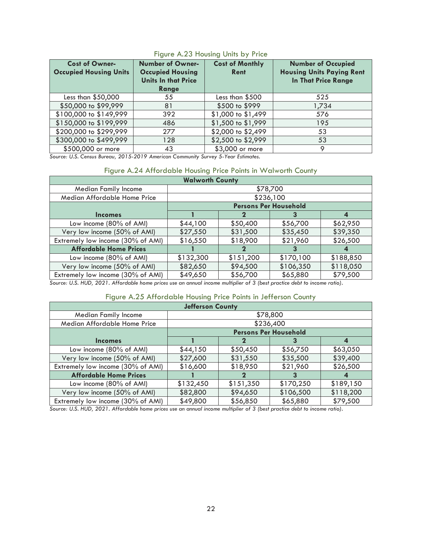| <b>Cost of Owner-</b><br><b>Occupied Housing Units</b> | <b>Number of Owner-</b><br><b>Occupied Housing</b><br><b>Units In that Price</b><br>Range | <b>Cost of Monthly</b><br>Rent | <b>Number of Occupied</b><br><b>Housing Units Paying Rent</b><br><b>In That Price Range</b> |
|--------------------------------------------------------|-------------------------------------------------------------------------------------------|--------------------------------|---------------------------------------------------------------------------------------------|
| Less than \$50,000                                     | 55                                                                                        | Less than \$500                | 525                                                                                         |
| \$50,000 to \$99,999                                   | 81                                                                                        | \$500 to \$999                 | 1,734                                                                                       |
| \$100,000 to \$149,999                                 | 392                                                                                       | \$1,000 to \$1,499             | 576                                                                                         |
| \$150,000 to \$199,999                                 | 486                                                                                       | \$1,500 to \$1,999             | 195                                                                                         |
| \$200,000 to \$299,999                                 | 277                                                                                       | \$2,000 to \$2,499             | 53                                                                                          |
| \$300,000 to \$499,999                                 | 128                                                                                       | \$2,500 to \$2,999             | 53                                                                                          |
| \$500,000 or more                                      | 43                                                                                        | \$3,000 or more                |                                                                                             |

# Figure A.23 Housing Units by Price

*Source: U.S. Census Bureau, 2015-2019 American Community Survey 5-Year Estimates.*

# Figure A.24 Affordable Housing Price Points in Walworth County

| <b>Walworth County</b>            |           |                                                                                                                                                                                                                                                                                         |                              |           |  |  |  |  |
|-----------------------------------|-----------|-----------------------------------------------------------------------------------------------------------------------------------------------------------------------------------------------------------------------------------------------------------------------------------------|------------------------------|-----------|--|--|--|--|
| <b>Median Family Income</b>       |           |                                                                                                                                                                                                                                                                                         | \$78,700                     |           |  |  |  |  |
| Median Affordable Home Price      |           |                                                                                                                                                                                                                                                                                         | \$236,100                    |           |  |  |  |  |
|                                   |           |                                                                                                                                                                                                                                                                                         | <b>Persons Per Household</b> |           |  |  |  |  |
| <b>Incomes</b>                    |           |                                                                                                                                                                                                                                                                                         |                              |           |  |  |  |  |
| Low income (80% of AMI)           | \$44,100  | \$50,400                                                                                                                                                                                                                                                                                | \$56,700                     | \$62,950  |  |  |  |  |
| Very low income (50% of AMI)      | \$27,550  | \$31,500                                                                                                                                                                                                                                                                                | \$35,450                     | \$39,350  |  |  |  |  |
| Extremely low income (30% of AMI) | \$16,550  | \$18,900                                                                                                                                                                                                                                                                                | \$21,960                     | \$26,500  |  |  |  |  |
| <b>Affordable Home Prices</b>     |           |                                                                                                                                                                                                                                                                                         |                              |           |  |  |  |  |
| Low income (80% of AMI)           | \$132,300 | \$151,200                                                                                                                                                                                                                                                                               | \$170,100                    | \$188,850 |  |  |  |  |
| Very low income (50% of AMI)      | \$82,650  | \$94,500                                                                                                                                                                                                                                                                                | \$106,350                    | \$118,050 |  |  |  |  |
| Extremely low income (30% of AMI) | \$49,650  | \$56,700                                                                                                                                                                                                                                                                                | \$65,880                     | \$79,500  |  |  |  |  |
|                                   |           | $\mathcal{C}_{\text{c}}$ and $\mathcal{C}_{\text{c}}$ in $\mathcal{C}_{\text{c}}$ and $\mathcal{C}_{\text{c}}$ is the set of the set of $\mathcal{C}_{\text{c}}$ is the set of $\mathcal{C}_{\text{c}}$ is the set of $\mathcal{C}_{\text{c}}$ is the set of $\mathcal{C}_{\text{c}}$ . |                              |           |  |  |  |  |

*Source: U.S. HUD, 2021. Affordable home prices use an annual income multiplier of 3 (best practice debt to income ratio).* 

#### Figure A.25 Affordable Housing Price Points in Jefferson County

| <b>Jefferson County</b>           |           |           |                              |                  |  |  |
|-----------------------------------|-----------|-----------|------------------------------|------------------|--|--|
| <b>Median Family Income</b>       |           |           | \$78,800                     |                  |  |  |
| Median Affordable Home Price      |           |           | \$236,400                    |                  |  |  |
|                                   |           |           | <b>Persons Per Household</b> |                  |  |  |
| <b>Incomes</b>                    |           |           |                              | $\boldsymbol{4}$ |  |  |
| Low income (80% of AMI)           | \$44,150  | \$50,450  | \$56,750                     | \$63,050         |  |  |
| Very low income (50% of AMI)      | \$27,600  | \$31,550  | \$35,500                     | \$39,400         |  |  |
| Extremely low income (30% of AMI) | \$16,600  | \$18,950  | \$21,960                     | \$26,500         |  |  |
| <b>Affordable Home Prices</b>     |           |           |                              |                  |  |  |
| Low income (80% of AMI)           | \$132,450 | \$151,350 | \$170,250                    | \$189,150        |  |  |
| Very low income (50% of AMI)      | \$82,800  | \$94,650  | \$106,500                    | \$118,200        |  |  |
| Extremely low income (30% of AMI) | \$49,800  | \$56,850  | \$65,880                     | \$79,500         |  |  |

*Source: U.S. HUD, 2021. Affordable home prices use an annual income multiplier of 3 (best practice debt to income ratio).*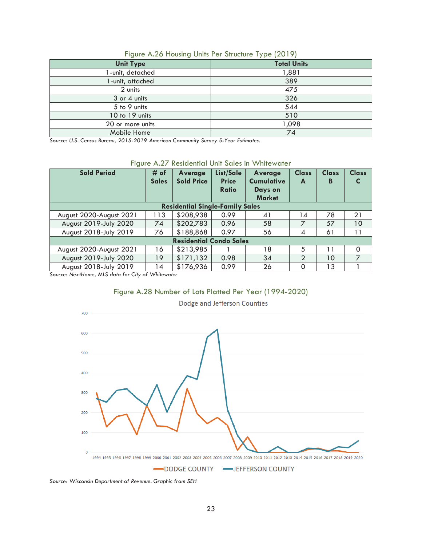| <b>Unit Type</b> | . .<br><b>Total Units</b> |
|------------------|---------------------------|
| I-unit, detached | 1,881                     |
| 1-unit, attached | 389                       |
| 2 units          | 475                       |
| 3 or 4 units     | 326                       |
| 5 to 9 units     | 544                       |
| 10 to 19 units   | 510                       |
| 20 or more units | 1,098                     |
| Mobile Home      | 74                        |

Figure A.26 Housing Units Per Structure Type (2019)

*Source: U.S. Census Bureau, 2015-2019 American Community Survey 5-Year Estimates.* 

|  |  |  |  |  | Figure A.27 Residential Unit Sales in Whitewater |
|--|--|--|--|--|--------------------------------------------------|
|--|--|--|--|--|--------------------------------------------------|

| <b>Sold Period</b>                                                                                                                                                                                                                                                                                                                                          | # of<br><b>Sales</b>                | Average<br><b>Sold Price</b> | List/Sale<br><b>Price</b><br>Ratio | <b>Average</b><br><b>Cumulative</b><br>Days on<br><b>Market</b> | <b>Class</b><br>A | <b>Class</b><br>В | <b>Class</b><br>C |
|-------------------------------------------------------------------------------------------------------------------------------------------------------------------------------------------------------------------------------------------------------------------------------------------------------------------------------------------------------------|-------------------------------------|------------------------------|------------------------------------|-----------------------------------------------------------------|-------------------|-------------------|-------------------|
| <b>Residential Single-Family Sales</b>                                                                                                                                                                                                                                                                                                                      |                                     |                              |                                    |                                                                 |                   |                   |                   |
| August 2020-August 2021                                                                                                                                                                                                                                                                                                                                     | 113                                 | \$208,938                    | 0.99                               | 41                                                              | 14                | 78                | 21                |
| August 2019-July 2020                                                                                                                                                                                                                                                                                                                                       | 74                                  | \$202,783                    | 0.96                               | 58                                                              | 7                 | 57                | 10                |
| August 2018-July 2019                                                                                                                                                                                                                                                                                                                                       | 76                                  | \$188,868                    | 0.97                               | 56                                                              | 4                 | 61                | 11                |
| <b>Residential Condo Sales</b>                                                                                                                                                                                                                                                                                                                              |                                     |                              |                                    |                                                                 |                   |                   |                   |
| August 2020-August 2021                                                                                                                                                                                                                                                                                                                                     | 16                                  | \$213,985                    |                                    | 18                                                              | 5                 | 11                | $\Omega$          |
| August 2019-July 2020                                                                                                                                                                                                                                                                                                                                       | 19                                  | \$171,132                    | 0.98                               | 34                                                              | $\overline{2}$    | 10                | $\overline{7}$    |
| August 2018-July 2019<br>$\mathbf{y}$ $\mathbf{y}$ $\mathbf{y}$ $\mathbf{y}$ $\mathbf{y}$ $\mathbf{y}$ $\mathbf{y}$ $\mathbf{y}$ $\mathbf{y}$ $\mathbf{y}$ $\mathbf{y}$ $\mathbf{y}$ $\mathbf{y}$ $\mathbf{y}$ $\mathbf{y}$ $\mathbf{y}$ $\mathbf{y}$ $\mathbf{y}$ $\mathbf{y}$ $\mathbf{y}$ $\mathbf{y}$ $\mathbf{y}$ $\mathbf{y}$ $\mathbf{y}$ $\mathbf{$ | 14<br>$\mathbf{r}$ . $\mathbf{r}$ . | \$176,936                    | 0.99                               | 26                                                              | 0                 | 13                |                   |

*Source: NextHome, MLS data for City of Whitewater* 





Dodge and Jefferson Counties

*Source: Wisconsin Department of Revenue. Graphic from SEH*